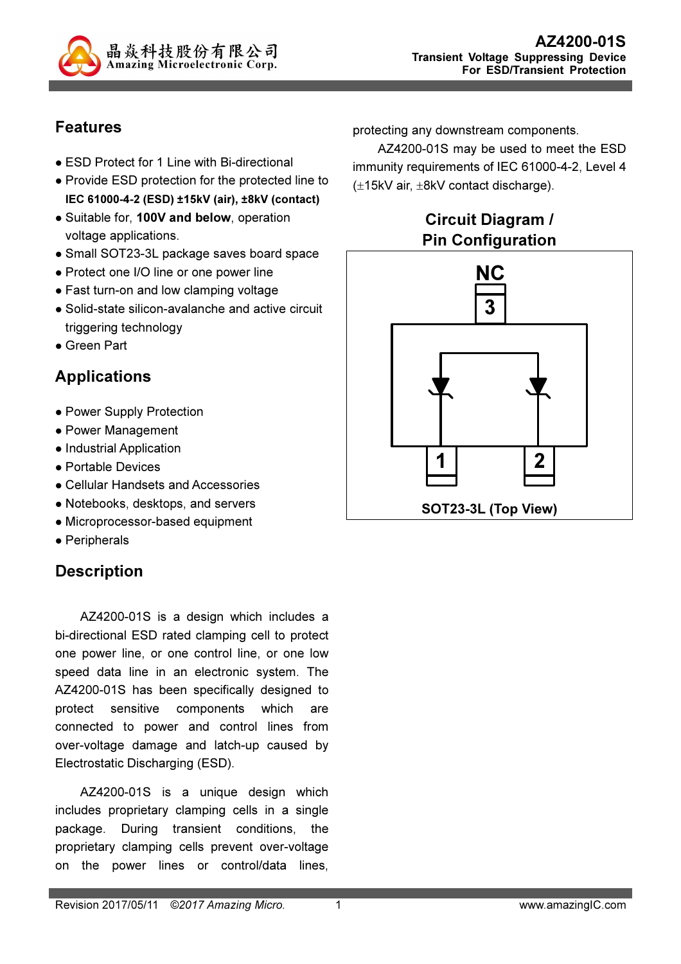

### Features

- ESD Protect for 1 Line with Bi-directional
- Provide ESD protection for the protected line to IEC 61000-4-2 (ESD) ±15kV (air), ±8kV (contact)
- Suitable for, 100V and below, operation voltage applications.
- Small SOT23-3L package saves board space
- Protect one I/O line or one power line
- Fast turn-on and low clamping voltage
- Solid-state silicon-avalanche and active circuit triggering technology
- Green Part

## Applications

- Power Supply Protection
- Power Management
- Industrial Application
- Portable Devices
- Cellular Handsets and Accessories
- Notebooks, desktops, and servers
- Microprocessor-based equipment
- Peripherals

## **Description**

AZ4200-01S is a design which includes a bi-directional ESD rated clamping cell to protect one power line, or one control line, or one low speed data line in an electronic system. The AZ4200-01S has been specifically designed to protect sensitive components which are connected to power and control lines from over-voltage damage and latch-up caused by Electrostatic Discharging (ESD).

AZ4200-01S is a unique design which includes proprietary clamping cells in a single package. During transient conditions, the proprietary clamping cells prevent over-voltage on the power lines or control/data lines,

protecting any downstream components.

AZ4200-01S may be used to meet the ESD immunity requirements of IEC 61000-4-2, Level 4 (±15kV air, ±8kV contact discharge).



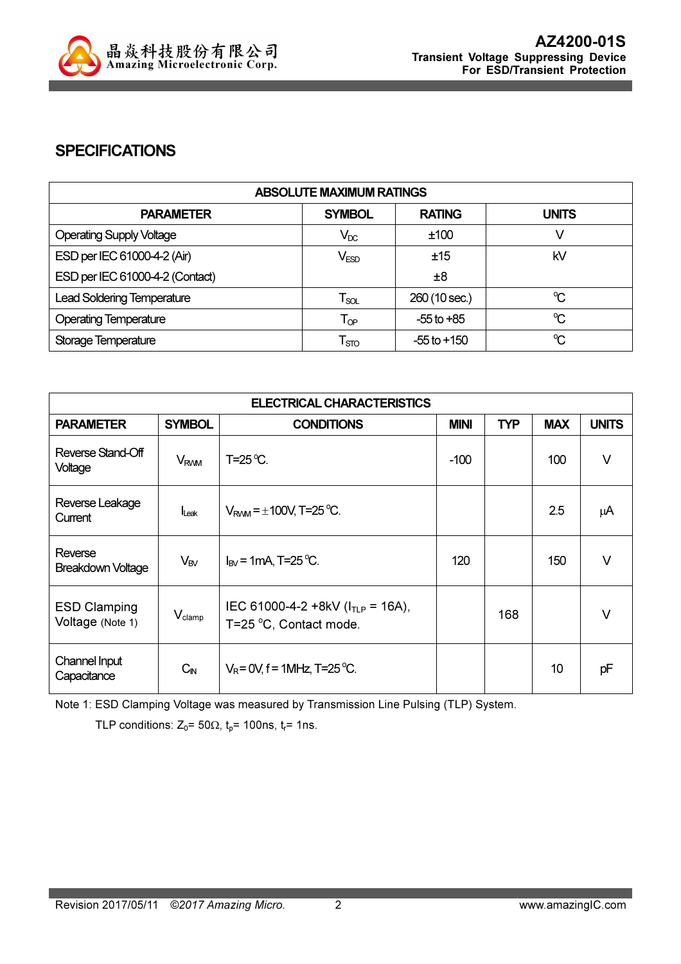

#### **SPECIFICATIONS**

| <b>ABSOLUTE MAXIMUM RATINGS</b>   |                             |                 |                      |  |
|-----------------------------------|-----------------------------|-----------------|----------------------|--|
| <b>PARAMETER</b>                  | <b>SYMBOL</b>               | <b>RATING</b>   | UNITS                |  |
| <b>Operating Supply Voltage</b>   | $V_{DC}$                    | ±100            | V                    |  |
| ESD per IEC 61000-4-2 (Air)       | $\mathsf{V}_{\mathsf{ESD}}$ | ±15             | kV                   |  |
| ESD per IEC 61000-4-2 (Contact)   |                             | ±8              |                      |  |
| <b>Lead Soldering Temperature</b> | $\mathsf{T}_{\mathsf{SOL}}$ | 260 (10 sec.)   | °C                   |  |
| <b>Operating Temperature</b>      | $T_{OP}$                    | $-55$ to $+85$  | $\mathrm{C}^{\circ}$ |  |
| Storage Temperature               | $\mathsf{T}_{\text{STO}}$   | $-55$ to $+150$ | $\mathrm{C}$         |  |

| <b>ELECTRICAL CHARACTERISTICS</b>       |                        |                                                                  |        |            |                 |              |
|-----------------------------------------|------------------------|------------------------------------------------------------------|--------|------------|-----------------|--------------|
| <b>PARAMETER</b>                        | <b>SYMBOL</b>          | <b>MINI</b><br><b>CONDITIONS</b>                                 |        | <b>TYP</b> | <b>MAX</b>      | <b>UNITS</b> |
| Reverse Stand-Off<br>Voltage            | <b>V<sub>RVM</sub></b> | $T = 25^{\circ}C$ .                                              | $-100$ |            | 100             | $\vee$       |
| Reverse Leakage<br>Current              | $I_{\text{L}eak}$      | $V_{RMM} = \pm 100V$ , T=25 °C.                                  |        |            | 2.5             | μA           |
| Reverse<br><b>Breakdown Voltage</b>     | $V_{BV}$               | $I_{\text{RV}}$ = 1 mA, T=25 °C.                                 | 120    |            | 150             | $\vee$       |
| <b>ESD Clamping</b><br>Voltage (Note 1) | $V_{\text{clamp}}$     | IEC 61000-4-2 +8kV ( $I_{TLP}$ = 16A),<br>T=25 °C, Contact mode. |        | 168        |                 | $\vee$       |
| Channel Input<br>Capacitance            | $C_{IN}$               | $V_R = 0V$ , f = 1MHz, T=25 °C.                                  |        |            | 10 <sup>°</sup> | pF           |

Note 1: ESD Clamping Voltage was measured by Transmission Line Pulsing (TLP) System.

TLP conditions:  $Z_0$ = 50 $\Omega$ ,  $t_p$ = 100ns,  $t_r$ = 1ns.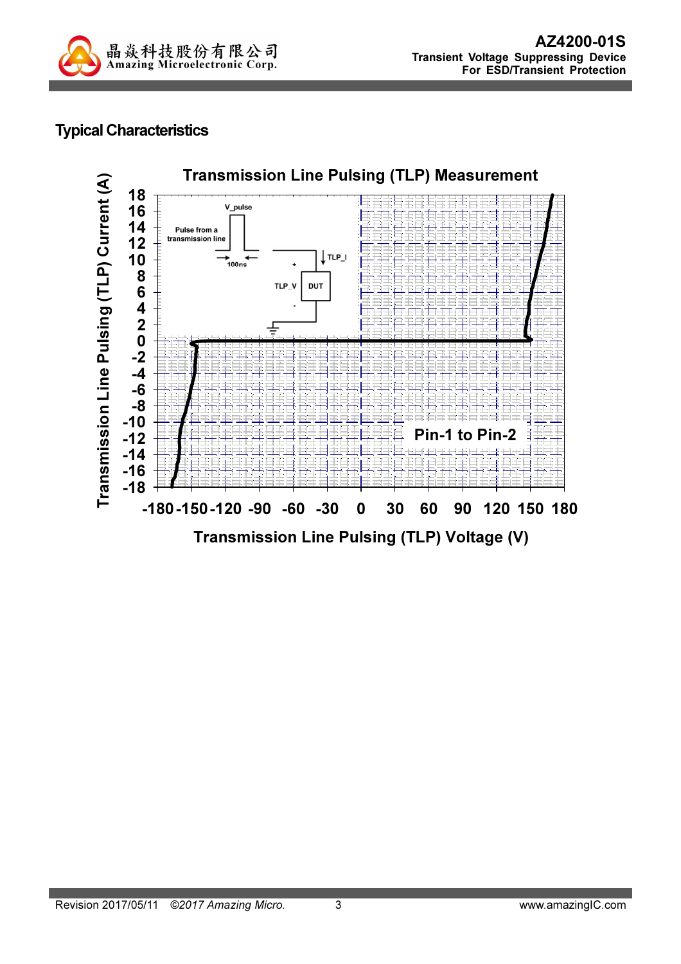

#### Typical Characteristics

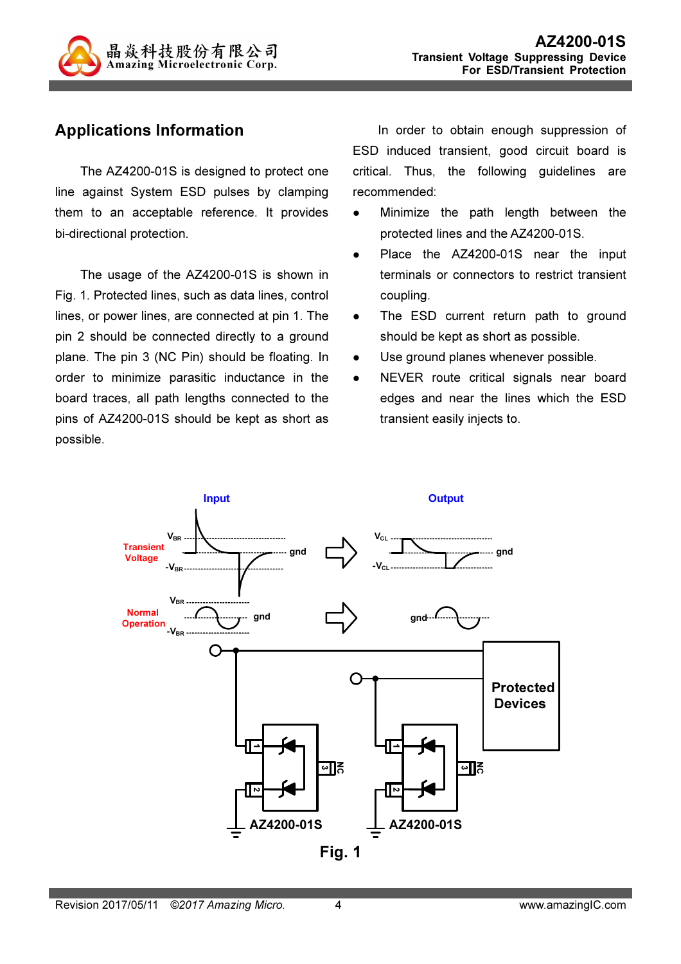

#### Applications Information

The AZ4200-01S is designed to protect one line against System ESD pulses by clamping them to an acceptable reference. It provides bi-directional protection.

The usage of the AZ4200-01S is shown in Fig. 1. Protected lines, such as data lines, control lines, or power lines, are connected at pin 1. The pin 2 should be connected directly to a ground plane. The pin 3 (NC Pin) should be floating. In order to minimize parasitic inductance in the board traces, all path lengths connected to the pins of AZ4200-01S should be kept as short as possible.

In order to obtain enough suppression of ESD induced transient, good circuit board is critical. Thus, the following guidelines are recommended:

- Minimize the path length between the protected lines and the AZ4200-01S.
- Place the AZ4200-01S near the input terminals or connectors to restrict transient coupling.
- The ESD current return path to ground should be kept as short as possible.
- Use ground planes whenever possible.
- NEVER route critical signals near board edges and near the lines which the ESD transient easily injects to.

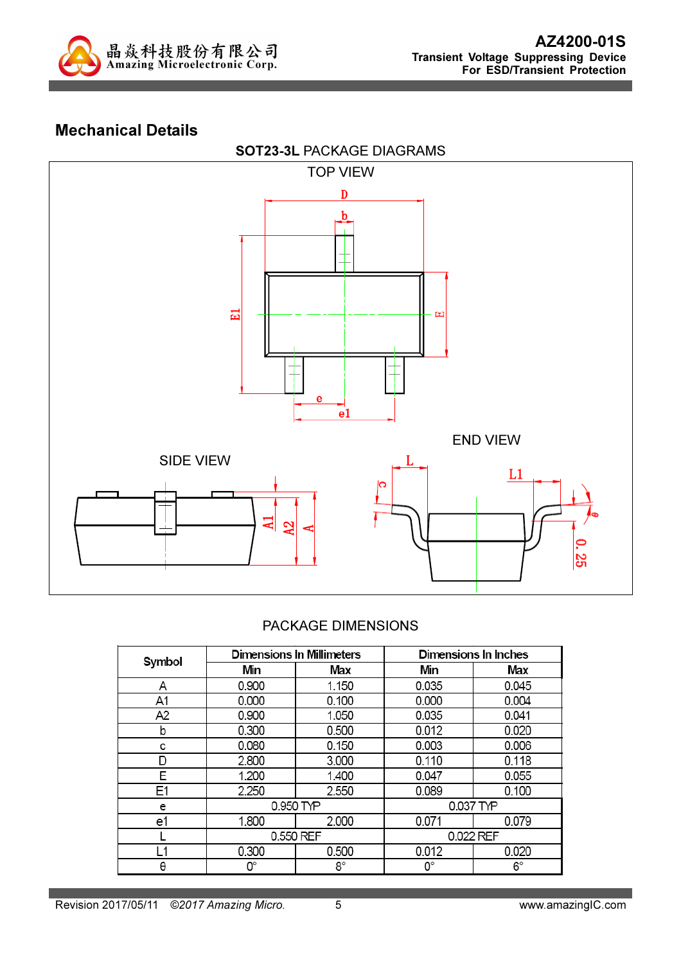

#### Mechanical Details



#### PACKAGE DIMENSIONS

| Symbol |           | <b>Dimensions In Millimeters</b> | Dimensions In Inches |       |  |
|--------|-----------|----------------------------------|----------------------|-------|--|
|        | Min       | Max                              | Min                  | Max   |  |
| Α      | 0.900     | 1.150                            | 0.035                | 0.045 |  |
| A1     | 0.000     | 0.100                            | 0.000                | 0.004 |  |
| A2     | 0.900     | 1.050                            | 0.035                | 0.041 |  |
| b      | 0.300     | 0.500                            | 0.012                | 0.020 |  |
| с      | 0.080     | 0.150                            | 0.003                | 0.006 |  |
| D      | 2.800     | 3.000                            | 0.110                | 0.118 |  |
| E      | 1.200     | 1.400                            | 0.047                | 0.055 |  |
| E1     | 2.250     | 2.550                            | 0.089                | 0.100 |  |
| e      | 0.950 TYP |                                  | 0.037 TYP            |       |  |
| e1     | 1.800     | 2.000                            | 0.071                | 0.079 |  |
|        | 0.550 REF |                                  | 0.022 REF            |       |  |
| l 1    | 0.300     | 0.500                            | 0.012                | 0.020 |  |
| θ      | О°        | 8°                               | О°                   | 6°    |  |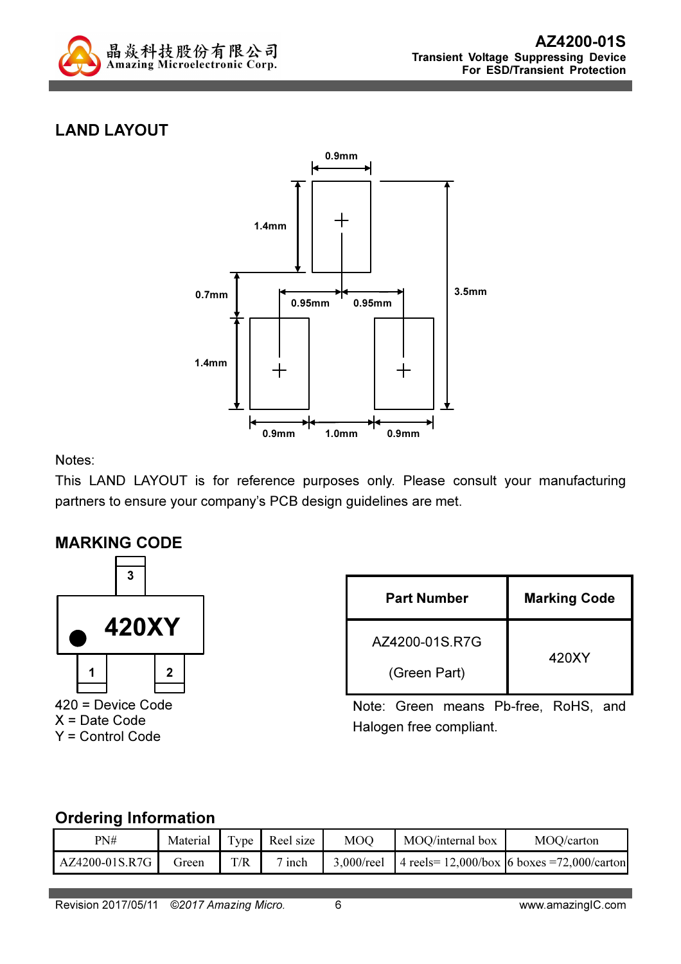

# LAND LAYOUT



Notes:

This LAND LAYOUT is for reference purposes only. Please consult your manufacturing partners to ensure your company's PCB design guidelines are met.

#### MARKING CODE



| <b>Part Number</b> | <b>Marking Code</b> |
|--------------------|---------------------|
| AZ4200-01S.R7G     |                     |
| (Green Part)       | 420XY               |

Note: Green means Pb-free, RoHS, and Halogen free compliant.

#### Ordering Information

| PN#            | Material |     | Type Reel size | MOO           | MOQ/internal box | MOQ/carton                                     |
|----------------|----------|-----|----------------|---------------|------------------|------------------------------------------------|
| AZ4200-01S.R7G | Green    | T/R | $\sigma$ inch  | $3,000$ /reel |                  | 4 reels= $12,000/b$ ox 6 boxes = 72,000/carton |